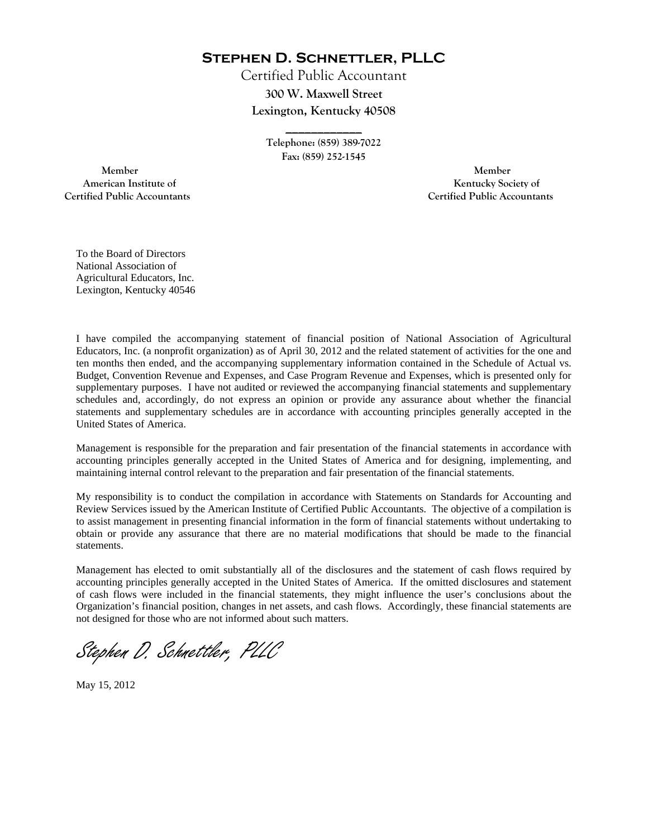**Stephen D. Schnettler, PLLC**

Certified Public Accountant **300 W. Maxwell Street Lexington, Kentucky 40508** 

> **Telephone: (859) 389-7022 Fax: (859) 252-1545**

**\_\_\_\_\_\_\_\_\_\_\_\_** 

 **Member Member Certified Public Accountants Certified Public Accountants** 

American Institute of **Kentucky Society of American Institute of** 

To the Board of Directors National Association of Agricultural Educators, Inc. Lexington, Kentucky 40546

I have compiled the accompanying statement of financial position of National Association of Agricultural Educators, Inc. (a nonprofit organization) as of April 30, 2012 and the related statement of activities for the one and ten months then ended, and the accompanying supplementary information contained in the Schedule of Actual vs. Budget, Convention Revenue and Expenses, and Case Program Revenue and Expenses, which is presented only for supplementary purposes. I have not audited or reviewed the accompanying financial statements and supplementary schedules and, accordingly, do not express an opinion or provide any assurance about whether the financial statements and supplementary schedules are in accordance with accounting principles generally accepted in the United States of America.

Management is responsible for the preparation and fair presentation of the financial statements in accordance with accounting principles generally accepted in the United States of America and for designing, implementing, and maintaining internal control relevant to the preparation and fair presentation of the financial statements.

My responsibility is to conduct the compilation in accordance with Statements on Standards for Accounting and Review Services issued by the American Institute of Certified Public Accountants. The objective of a compilation is to assist management in presenting financial information in the form of financial statements without undertaking to obtain or provide any assurance that there are no material modifications that should be made to the financial statements.

Management has elected to omit substantially all of the disclosures and the statement of cash flows required by accounting principles generally accepted in the United States of America. If the omitted disclosures and statement of cash flows were included in the financial statements, they might influence the user's conclusions about the Organization's financial position, changes in net assets, and cash flows. Accordingly, these financial statements are not designed for those who are not informed about such matters.

Stephen D. Schnettler, PLLC

May 15, 2012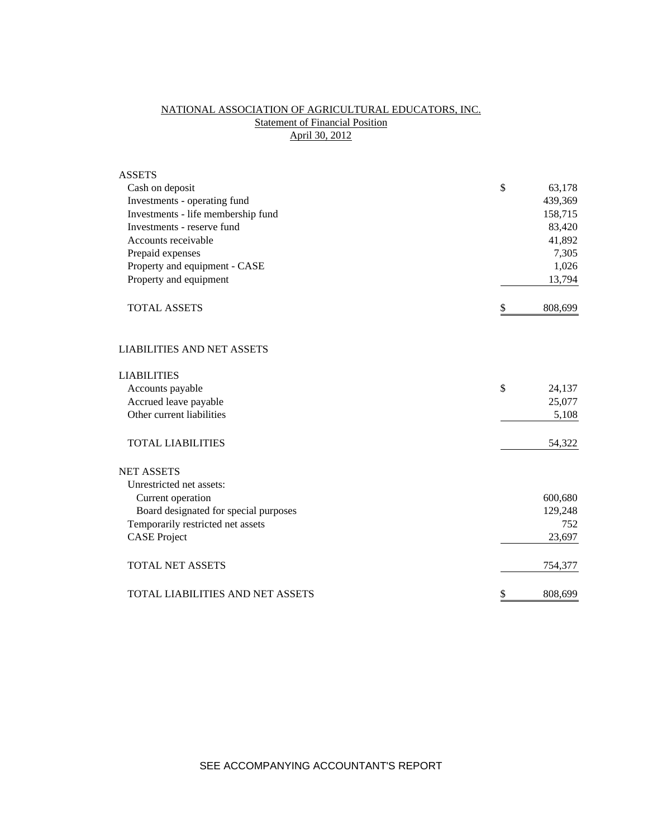# NATIONAL ASSOCIATION OF AGRICULTURAL EDUCATORS, INC. **Statement of Financial Position** April 30, 2012

| <b>ASSETS</b>                           |               |
|-----------------------------------------|---------------|
| Cash on deposit                         | \$<br>63,178  |
| Investments - operating fund            | 439,369       |
| Investments - life membership fund      | 158,715       |
| Investments - reserve fund              | 83,420        |
| Accounts receivable                     | 41,892        |
| Prepaid expenses                        | 7,305         |
| Property and equipment - CASE           | 1,026         |
| Property and equipment                  | 13,794        |
| <b>TOTAL ASSETS</b>                     | \$<br>808,699 |
| <b>LIABILITIES AND NET ASSETS</b>       |               |
| <b>LIABILITIES</b>                      |               |
| Accounts payable                        | \$<br>24,137  |
| Accrued leave payable                   | 25,077        |
| Other current liabilities               | 5,108         |
| <b>TOTAL LIABILITIES</b>                | 54,322        |
| <b>NET ASSETS</b>                       |               |
| Unrestricted net assets:                |               |
| Current operation                       | 600,680       |
| Board designated for special purposes   | 129,248       |
| Temporarily restricted net assets       | 752           |
| <b>CASE Project</b>                     | 23,697        |
| <b>TOTAL NET ASSETS</b>                 | 754,377       |
| <b>TOTAL LIABILITIES AND NET ASSETS</b> | \$<br>808,699 |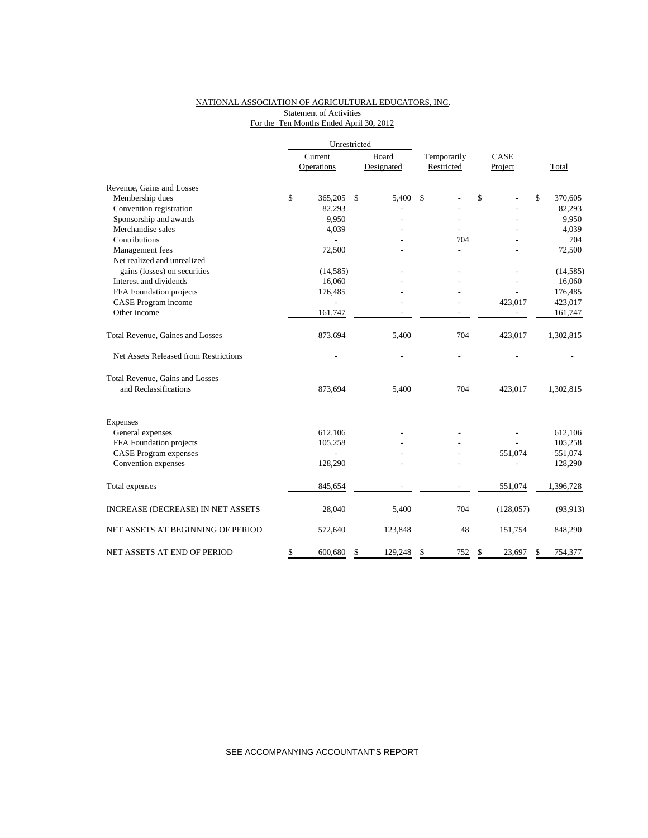## NATIONAL ASSOCIATION OF AGRICULTURAL EDUCATORS, INC. **Statement of Activities** For the Ten Months Ended April 30, 2012

|                                       |    | Current        |              | Board      | Temporarily | CASE         |    |           |
|---------------------------------------|----|----------------|--------------|------------|-------------|--------------|----|-----------|
|                                       |    | Operations     |              | Designated | Restricted  | Project      |    | Total     |
| Revenue, Gains and Losses             |    |                |              |            |             |              |    |           |
| Membership dues                       | \$ | 365,205        | $\mathbb{S}$ | 5,400      | \$          | \$           | \$ | 370,605   |
| Convention registration               |    | 82,293         |              |            |             |              |    | 82,293    |
| Sponsorship and awards                |    | 9,950          |              |            |             |              |    | 9,950     |
| Merchandise sales                     |    | 4,039          |              |            |             |              |    | 4,039     |
| Contributions                         |    |                |              |            | 704         |              |    | 704       |
| Management fees                       |    | 72,500         |              |            |             |              |    | 72,500    |
| Net realized and unrealized           |    |                |              |            |             |              |    |           |
| gains (losses) on securities          |    | (14, 585)      |              |            |             |              |    | (14, 585) |
| Interest and dividends                |    | 16,060         |              |            |             |              |    | 16,060    |
| FFA Foundation projects               |    | 176,485        |              |            |             |              |    | 176,485   |
| CASE Program income                   |    |                |              |            |             | 423,017      |    | 423,017   |
| Other income                          |    | 161,747        |              |            |             |              |    | 161,747   |
| Total Revenue, Gaines and Losses      |    | 873,694        |              | 5,400      | 704         | 423,017      |    | 1,302,815 |
| Net Assets Released from Restrictions |    |                |              |            |             |              |    |           |
| Total Revenue, Gains and Losses       |    |                |              |            |             |              |    |           |
| and Reclassifications                 |    | 873,694        |              | 5,400      | 704         | 423,017      |    | 1,302,815 |
| Expenses                              |    |                |              |            |             |              |    |           |
| General expenses                      |    | 612,106        |              |            |             |              |    | 612,106   |
| FFA Foundation projects               |    | 105,258        |              |            |             |              |    | 105,258   |
| <b>CASE</b> Program expenses          |    | $\overline{a}$ |              |            |             | 551,074      |    | 551,074   |
| Convention expenses                   |    | 128,290        |              |            |             |              |    | 128,290   |
| Total expenses                        |    | 845,654        |              |            |             | 551,074      |    | 1,396,728 |
| INCREASE (DECREASE) IN NET ASSETS     |    | 28,040         |              | 5,400      | 704         | (128, 057)   |    | (93, 913) |
| NET ASSETS AT BEGINNING OF PERIOD     |    | 572,640        |              | 123,848    | 48          | 151,754      |    | 848,290   |
| NET ASSETS AT END OF PERIOD           | \$ | 600.680        | S            | 129.248    | \$<br>752   | \$<br>23,697 | S  | 754,377   |

SEE ACCOMPANYING ACCOUNTANT'S REPORT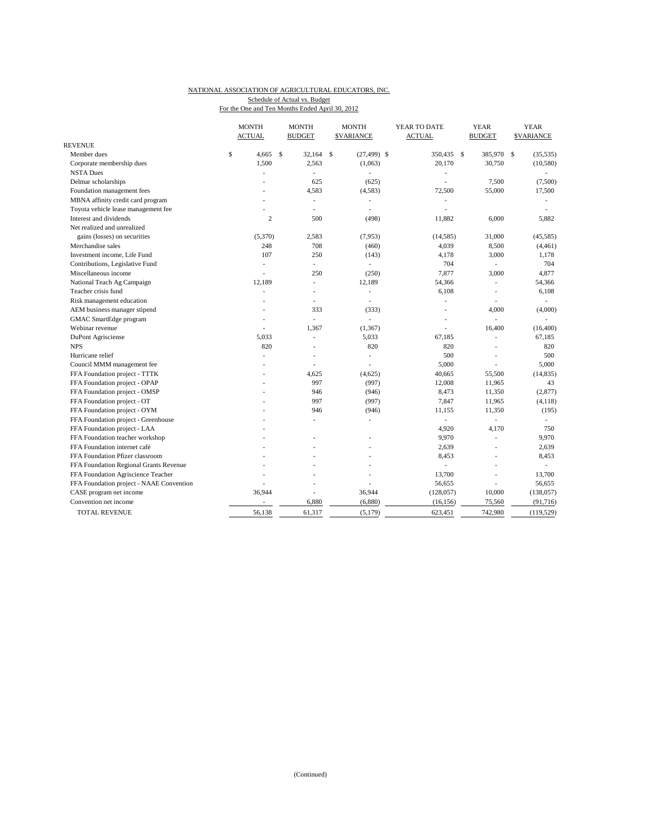#### NATIONAL ASSOCIATION OF AGRICULTURAL EDUCATORS, INC. Schedule of Actual vs. Budget

For the One and Ten Months Ended April 30, 2012

|                                                                 | <b>MONTH</b>             | <b>MONTH</b>  | <b>MONTH</b>         | YEAR TO DATE             | <b>YEAR</b>              | <b>YEAR</b>      |
|-----------------------------------------------------------------|--------------------------|---------------|----------------------|--------------------------|--------------------------|------------------|
| <b>REVENUE</b>                                                  | <b>ACTUAL</b>            | <b>BUDGET</b> | <b>SVARIANCE</b>     | <b>ACTUAL</b>            | <b>BUDGET</b>            | <b>SVARIANCE</b> |
| Member dues                                                     | \$<br>4,665              | \$<br>32,164  | \$<br>$(27, 499)$ \$ | 350,435 \$               | 385,970 \$               | (35, 535)        |
| Corporate membership dues                                       | 1,500                    | 2,563         | (1,063)              | 20,170                   | 30,750                   | (10,580)         |
| <b>NSTA Dues</b>                                                |                          | L.            |                      | ٠                        |                          |                  |
| Delmar scholarships                                             |                          | 625           | (625)                | ÷,                       | 7,500                    | (7,500)          |
|                                                                 |                          | 4,583         | (4,583)              | 72,500                   | 55,000                   |                  |
| Foundation management fees<br>MBNA affinity credit card program |                          | ä,            |                      |                          |                          | 17,500           |
| Toyota vehicle lease management fee                             |                          | ä,            |                      | $\overline{\phantom{a}}$ |                          |                  |
| Interest and dividends                                          | $\mathbf{2}$             | 500           |                      | ÷,<br>11,882             |                          | 5,882            |
| Net realized and unrealized                                     |                          |               | (498)                |                          | 6,000                    |                  |
|                                                                 |                          |               |                      |                          |                          |                  |
| gains (losses) on securities                                    | (5,370)                  | 2,583         | (7,953)              | (14, 585)                | 31,000                   | (45, 585)        |
| Merchandise sales                                               | 248                      | 708           | (460)                | 4,039                    | 8,500                    | (4, 461)         |
| Investment income, Life Fund                                    | 107                      | 250<br>÷      | (143)                | 4,178<br>704             | 3,000                    | 1,178<br>704     |
| Contributions, Legislative Fund                                 | ٠                        |               | ÷.                   |                          | $\overline{\phantom{a}}$ |                  |
| Miscellaneous income                                            | ÷.                       | 250           | (250)                | 7,877                    | 3,000                    | 4,877            |
| National Teach Ag Campaign                                      | 12,189                   | ٠             | 12,189               | 54,366                   | $\overline{\phantom{a}}$ | 54,366           |
| Teacher crisis fund                                             |                          | ä,            |                      | 6,108                    |                          | 6,108            |
| Risk management education                                       |                          | ÷.            | ٠                    | ٠                        | $\overline{\phantom{a}}$ | ٠                |
| AEM business manager stipend                                    |                          | 333           | (333)                | ÷,                       | 4,000                    | (4,000)          |
| <b>GMAC</b> SmartEdge program                                   | ٠                        |               |                      | $\overline{\phantom{a}}$ |                          |                  |
| Webinar revenue                                                 |                          | 1,367         | (1, 367)             |                          | 16,400                   | (16, 400)        |
| DuPont Agrisciense                                              | 5,033                    | L,            | 5,033                | 67,185                   |                          | 67,185           |
| <b>NPS</b>                                                      | 820                      | L,            | 820                  | 820                      |                          | 820              |
| Hurricane relief                                                | $\overline{\phantom{a}}$ | ٠             | ÷,                   | 500                      |                          | 500              |
| Council MMM management fee                                      |                          |               |                      | 5,000                    |                          | 5,000            |
| FFA Foundation project - TTTK                                   |                          | 4,625         | (4,625)              | 40,665                   | 55,500                   | (14, 835)        |
| FFA Foundation project - OPAP                                   |                          | 997           | (997)                | 12,008                   | 11,965                   | 43               |
| FFA Foundation project - OMSP                                   |                          | 946           | (946)                | 8,473                    | 11,350                   | (2,877)          |
| FFA Foundation project - OT                                     |                          | 997           | (997)                | 7,847                    | 11,965                   | (4,118)          |
| FFA Foundation project - OYM                                    |                          | 946           | (946)                | 11,155                   | 11,350                   | (195)            |
| FFA Foundation project - Greenhouse                             |                          | ä,            | $\frac{1}{2}$        | $\overline{\phantom{a}}$ | $\frac{1}{2}$            | ÷.               |
| FFA Foundation project - LAA                                    |                          |               |                      | 4,920                    | 4,170                    | 750              |
| FFA Foundation teacher workshop                                 |                          |               |                      | 9,970                    | ÷                        | 9,970            |
| FFA Foundation internet café                                    |                          |               |                      | 2,639                    | ÷.                       | 2,639            |
| FFA Foundation Pfizer classroom                                 |                          |               | ٠                    | 8,453                    | ٠                        | 8,453            |
| FFA Foundation Regional Grants Revenue                          |                          |               |                      |                          |                          |                  |
| FFA Foundation Agriscience Teacher                              |                          |               |                      | 13,700                   |                          | 13,700           |
| FFA Foundation project - NAAE Convention                        |                          |               |                      | 56,655                   | ÷,                       | 56,655           |
| CASE program net income                                         | 36,944                   |               | 36,944               | (128, 057)               | 10,000                   | (138, 057)       |
| Convention net income                                           |                          | 6,880         | (6,880)              | (16, 156)                | 75,560                   | (91,716)         |
| <b>TOTAL REVENUE</b>                                            | 56,138                   | 61,317        | (5, 179)             | 623,451                  | 742,980                  | (119, 529)       |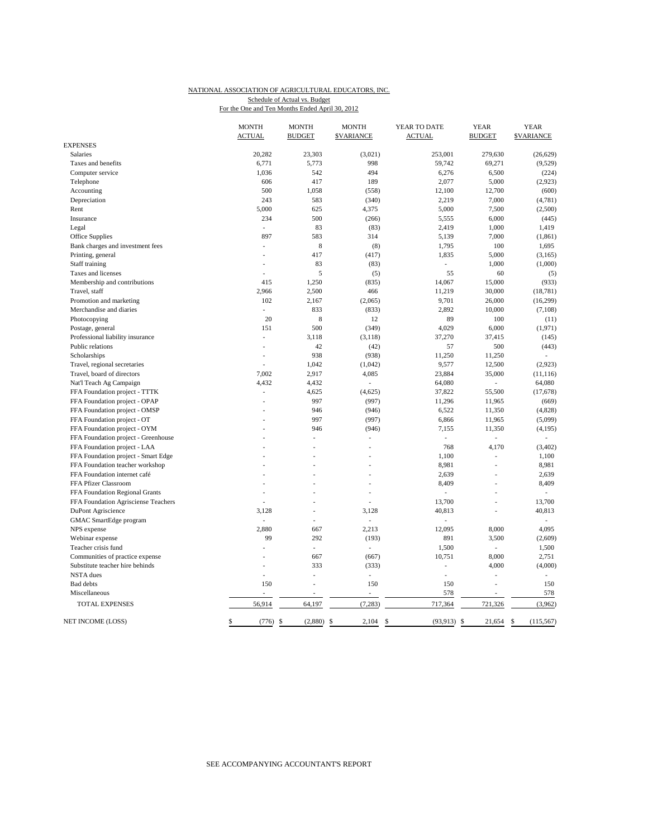## NATIONAL ASSOCIATION OF AGRICULTURAL EDUCATORS, INC. Schedule of Actual vs. Budget

| For the One and Ten Months Ended April 30, 2012 |  |  |  |  |  |
|-------------------------------------------------|--|--|--|--|--|
|                                                 |  |  |  |  |  |

|                                     | <b>MONTH</b>             | <b>MONTH</b>   |             | <b>MONTH</b>             | YEAR TO DATE   | <b>YEAR</b>    | <b>YEAR</b>                |
|-------------------------------------|--------------------------|----------------|-------------|--------------------------|----------------|----------------|----------------------------|
|                                     | <b>ACTUAL</b>            | <b>BUDGET</b>  |             | <b>\$VARIANCE</b>        | <b>ACTUAL</b>  | <b>BUDGET</b>  | <b>\$VARIANCE</b>          |
| <b>EXPENSES</b>                     |                          |                |             |                          |                |                |                            |
| <b>Salaries</b>                     | 20,282                   | 23,303         |             | (3,021)                  | 253,001        | 279,630        | (26, 629)                  |
| Taxes and benefits                  | 6,771                    | 5,773          |             | 998                      | 59,742         | 69,271         | (9,529)                    |
| Computer service                    | 1,036                    | 542            |             | 494                      | 6,276          | 6,500          | (224)                      |
| Telephone                           | 606                      | 417            |             | 189                      | 2,077          | 5,000          | (2,923)                    |
| Accounting                          | 500                      | 1,058          |             | (558)                    | 12,100         | 12,700         | (600)                      |
| Depreciation                        | 243                      | 583            |             | (340)                    | 2,219          | 7,000          | (4,781)                    |
| Rent                                | 5,000                    | 625            |             | 4,375                    | 5,000          | 7,500          | (2,500)                    |
| Insurance                           | 234                      | 500            |             | (266)                    | 5,555          | 6,000          | (445)                      |
| Legal                               | L.                       |                | 83          | (83)                     | 2,419          | 1,000          | 1,419                      |
| Office Supplies                     | 897                      | 583            |             | 314                      | 5,139          | 7,000          | (1, 861)                   |
| Bank charges and investment fees    |                          |                | $\,$ 8 $\,$ | (8)                      | 1,795          | 100            | 1,695                      |
| Printing, general                   |                          | 417            |             | (417)                    | 1,835          | 5,000          | (3,165)                    |
| Staff training                      |                          |                | 83          | (83)                     | $\sim$         | 1,000          | (1,000)                    |
| Taxes and licenses                  |                          |                | 5           | (5)                      | 55             | 60             | (5)                        |
| Membership and contributions        | 415                      | 1,250          |             | (835)                    | 14,067         | 15,000         | (933)                      |
| Travel, staff                       | 2,966                    | 2,500          |             | 466                      | 11,219         | 30,000         | (18, 781)                  |
| Promotion and marketing             | 102                      | 2,167          |             | (2,065)                  | 9,701          | 26,000         | (16,299)                   |
| Merchandise and diaries             |                          | 833            |             | (833)                    | 2,892          | 10,000         | (7,108)                    |
| Photocopying                        | 20                       |                | $\,$ 8 $\,$ | 12                       | 89             | 100            | (11)                       |
| Postage, general                    | 151                      | 500            |             | (349)                    | 4,029          | 6,000          | (1,971)                    |
| Professional liability insurance    | ÷.                       | 3,118          |             | (3, 118)                 | 37,270         | 37,415         | (145)                      |
| Public relations                    | J.                       |                | 42          | (42)                     | 57             | 500            | (443)                      |
| Scholarships                        |                          | 938            |             | (938)                    | 11,250         | 11,250         |                            |
| Travel, regional secretaries        |                          | 1,042          |             | (1,042)                  | 9,577          | 12,500         | (2,923)                    |
| Travel, board of directors          | 7.002                    | 2,917          |             | 4,085                    | 23,884         | 35,000         | (11, 116)                  |
| Nat'l Teach Ag Campaign             | 4,432                    | 4,432          |             |                          | 64,080         | L.             | 64,080                     |
| FFA Foundation project - TTTK       | J.                       | 4,625          |             | (4,625)                  | 37,822         | 55,500         | (17,678)                   |
| FFA Foundation project - OPAP       | ٠                        | 997            |             | (997)                    | 11,296         | 11,965         | (669)                      |
| FFA Foundation project - OMSP       |                          | 946            |             | (946)                    | 6,522          | 11,350         | (4,828)                    |
| FFA Foundation project - OT         |                          | 997            |             | (997)                    | 6,866          | 11,965         | (5,099)                    |
| FFA Foundation project - OYM        |                          | 946            |             | (946)                    | 7,155          | 11,350         | (4,195)                    |
| FFA Foundation project - Greenhouse |                          | ä,             |             |                          |                |                |                            |
| FFA Foundation project - LAA        |                          | L.             |             | ÷                        | 768            | 4,170          | (3, 402)                   |
| FFA Foundation project - Smart Edge |                          |                |             |                          | 1,100          | L,             | 1,100                      |
| FFA Foundation teacher workshop     |                          |                |             |                          | 8,981          | L,             | 8,981                      |
| FFA Foundation internet café        |                          | ä,             |             | ÷.                       | 2,639          | L,             | 2,639                      |
| FFA Pfizer Classroom                |                          |                |             |                          | 8,409          |                | 8,409                      |
| FFA Foundation Regional Grants      |                          | L.             |             |                          | ÷              |                |                            |
| FFA Foundation Agrisciense Teachers |                          |                |             |                          | 13.700         | $\overline{a}$ | 13.700                     |
| DuPont Agriscience                  | 3,128                    | ÷.             |             | 3,128                    | 40,813         | L.             | 40,813                     |
| GMAC SmartEdge program              | ÷,                       | L.             |             | ÷,                       | ÷.             |                |                            |
| NPS expense                         | 2,880                    | 667            |             | 2,213                    | 12,095         | 8,000          | 4,095                      |
| Webinar expense                     | 99                       | 292            |             | (193)                    | 891            | 3,500          | (2,609)                    |
| Teacher crisis fund                 | $\overline{a}$           | L.             |             | $\overline{\phantom{a}}$ | 1,500          | $\overline{a}$ | 1,500                      |
| Communities of practice expense     |                          | 667            |             | (667)                    | 10,751         | 8,000          | 2,751                      |
| Substitute teacher hire behinds     | J.                       | 333            |             | (333)                    | ٠              | 4,000          | (4,000)                    |
| <b>NSTA</b> dues                    | ÷,                       | ÷,             |             | ÷,                       | ÷.             | ÷,             |                            |
| <b>Bad</b> debts                    | 150                      | $\overline{a}$ |             | 150                      | 150            | Ĭ.             | 150                        |
| Miscellaneous                       | $\overline{\phantom{a}}$ | ٠              |             | $\overline{\phantom{a}}$ | 578            | ÷,             | 578                        |
| <b>TOTAL EXPENSES</b>               | 56,914                   | 64,197         |             | (7, 283)                 | 717,364        | 721,326        | (3,962)                    |
| <b>NET INCOME (LOSS)</b>            | \$<br>$(776)$ \$         | $(2,880)$ \$   |             | $2,104$ \$               | $(93, 913)$ \$ | 21,654         | $\mathbf{s}$<br>(115, 567) |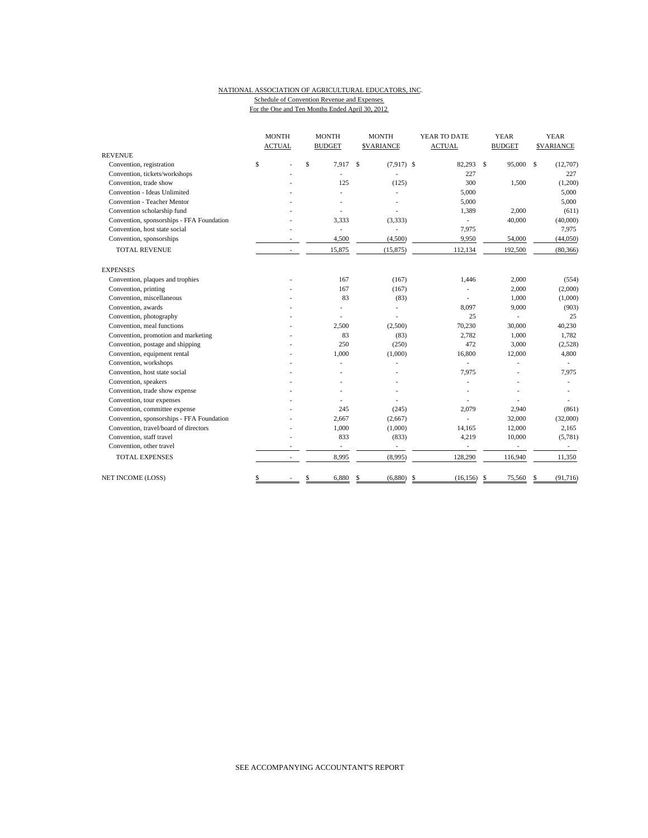## NATIONAL ASSOCIATION OF AGRICULTURAL EDUCATORS, INC. Schedule of Convention Revenue and Expenses

For the One and Ten Months Ended April 30, 2012

|                                           | <b>MONTH</b>             | <b>MONTH</b>             | <b>MONTH</b>                  | YEAR TO DATE             | <b>YEAR</b>              | <b>YEAR</b>             |  |
|-------------------------------------------|--------------------------|--------------------------|-------------------------------|--------------------------|--------------------------|-------------------------|--|
|                                           | <b>ACTUAL</b>            | <b>BUDGET</b>            | <b>SVARIANCE</b>              | <b>ACTUAL</b>            | <b>BUDGET</b>            | <b>SVARIANCE</b>        |  |
| <b>REVENUE</b>                            |                          |                          |                               |                          |                          |                         |  |
| Convention, registration                  | \$                       | \$<br>7,917              | <sup>\$</sup><br>$(7.917)$ \$ | 82,293                   | \$<br>95,000             | $\mathbf S$<br>(12,707) |  |
| Convention, tickets/workshops             |                          |                          |                               | 227                      |                          | 227                     |  |
| Convention, trade show                    |                          | 125                      | (125)                         | 300                      | 1,500                    | (1,200)                 |  |
| Convention - Ideas Unlimited              |                          |                          |                               | 5,000                    |                          | 5,000                   |  |
| Convention - Teacher Mentor               |                          |                          |                               | 5,000                    |                          | 5,000                   |  |
| Convention scholarship fund               |                          |                          |                               | 1,389                    | 2,000                    | (611)                   |  |
| Convention, sponsorships - FFA Foundation |                          | 3,333                    | (3, 333)                      | ÷.                       | 40,000                   | (40,000)                |  |
| Convention, host state social             |                          | $\overline{\phantom{a}}$ | ä,                            | 7,975                    |                          | 7,975                   |  |
| Convention, sponsorships                  |                          | 4,500                    | (4,500)                       | 9,950                    | 54,000                   | (44,050)                |  |
| <b>TOTAL REVENUE</b>                      | $\overline{\phantom{a}}$ | 15,875                   | (15, 875)                     | 112,134                  | 192,500                  | (80, 366)               |  |
| <b>EXPENSES</b>                           |                          |                          |                               |                          |                          |                         |  |
| Convention, plaques and trophies          |                          | 167                      | (167)                         | 1,446                    | 2,000                    | (554)                   |  |
| Convention, printing                      |                          | 167                      | (167)                         |                          | 2,000                    | (2,000)                 |  |
| Convention, miscellaneous                 |                          | 83                       | (83)                          |                          | 1,000                    | (1,000)                 |  |
| Convention, awards                        |                          | L,                       | Ĭ.                            | 8,097                    | 9,000                    | (903)                   |  |
| Convention, photography                   |                          |                          |                               | 25                       |                          | 25                      |  |
| Convention, meal functions                |                          | 2.500                    | (2,500)                       | 70,230                   | 30,000                   | 40,230                  |  |
| Convention, promotion and marketing       |                          | 83                       | (83)                          | 2,782                    | 1,000                    | 1,782                   |  |
| Convention, postage and shipping          |                          | 250                      | (250)                         | 472                      | 3,000                    | (2,528)                 |  |
| Convention, equipment rental              |                          | 1,000                    | (1,000)                       | 16,800                   | 12,000                   | 4,800                   |  |
| Convention, workshops                     |                          |                          |                               |                          |                          |                         |  |
| Convention, host state social             |                          |                          |                               | 7,975                    |                          | 7,975                   |  |
| Convention, speakers                      |                          |                          |                               |                          |                          |                         |  |
| Convention, trade show expense            |                          |                          |                               |                          |                          |                         |  |
| Convention, tour expenses                 |                          |                          |                               |                          |                          |                         |  |
| Convention, committee expense             |                          | 245                      | (245)                         | 2,079                    | 2,940                    | (861)                   |  |
| Convention, sponsorships - FFA Foundation |                          | 2.667                    | (2,667)                       |                          | 32,000                   | (32,000)                |  |
| Convention, travel/board of directors     |                          | 1,000                    | (1,000)                       | 14,165                   | 12,000                   | 2,165                   |  |
| Convention, staff travel                  |                          | 833                      | (833)                         | 4,219                    | 10,000                   | (5,781)                 |  |
| Convention, other travel                  |                          | $\overline{\phantom{a}}$ | $\overline{\phantom{a}}$      | $\overline{\phantom{a}}$ | $\overline{\phantom{a}}$ | $\sim$                  |  |
| <b>TOTAL EXPENSES</b>                     | $\overline{\phantom{a}}$ | 8,995                    | (8,995)                       | 128,290                  | 116,940                  | 11,350                  |  |
| NET INCOME (LOSS)                         | \$                       | \$<br>6,880              | (6,880)<br>\$                 | -\$<br>$(16, 156)$ \$    | 75,560                   | (91, 716)<br>S          |  |